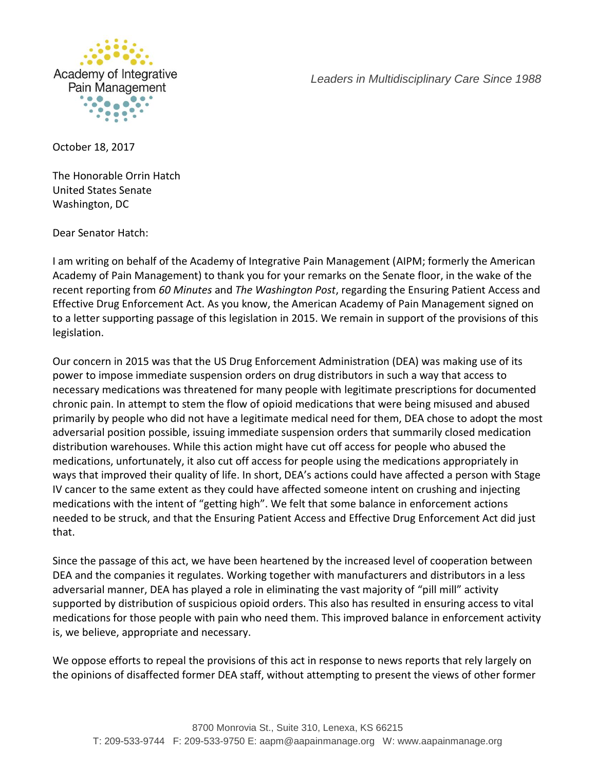

*Leaders in Multidisciplinary Care Since 1988*

October 18, 2017

The Honorable Orrin Hatch United States Senate Washington, DC

Dear Senator Hatch:

I am writing on behalf of the Academy of Integrative Pain Management (AIPM; formerly the American Academy of Pain Management) to thank you for your remarks on the Senate floor, in the wake of the recent reporting from *60 Minutes* and *The Washington Post*, regarding the Ensuring Patient Access and Effective Drug Enforcement Act. As you know, the American Academy of Pain Management signed on to a letter supporting passage of this legislation in 2015. We remain in support of the provisions of this legislation.

Our concern in 2015 was that the US Drug Enforcement Administration (DEA) was making use of its power to impose immediate suspension orders on drug distributors in such a way that access to necessary medications was threatened for many people with legitimate prescriptions for documented chronic pain. In attempt to stem the flow of opioid medications that were being misused and abused primarily by people who did not have a legitimate medical need for them, DEA chose to adopt the most adversarial position possible, issuing immediate suspension orders that summarily closed medication distribution warehouses. While this action might have cut off access for people who abused the medications, unfortunately, it also cut off access for people using the medications appropriately in ways that improved their quality of life. In short, DEA's actions could have affected a person with Stage IV cancer to the same extent as they could have affected someone intent on crushing and injecting medications with the intent of "getting high". We felt that some balance in enforcement actions needed to be struck, and that the Ensuring Patient Access and Effective Drug Enforcement Act did just that.

Since the passage of this act, we have been heartened by the increased level of cooperation between DEA and the companies it regulates. Working together with manufacturers and distributors in a less adversarial manner, DEA has played a role in eliminating the vast majority of "pill mill" activity supported by distribution of suspicious opioid orders. This also has resulted in ensuring access to vital medications for those people with pain who need them. This improved balance in enforcement activity is, we believe, appropriate and necessary.

We oppose efforts to repeal the provisions of this act in response to news reports that rely largely on the opinions of disaffected former DEA staff, without attempting to present the views of other former